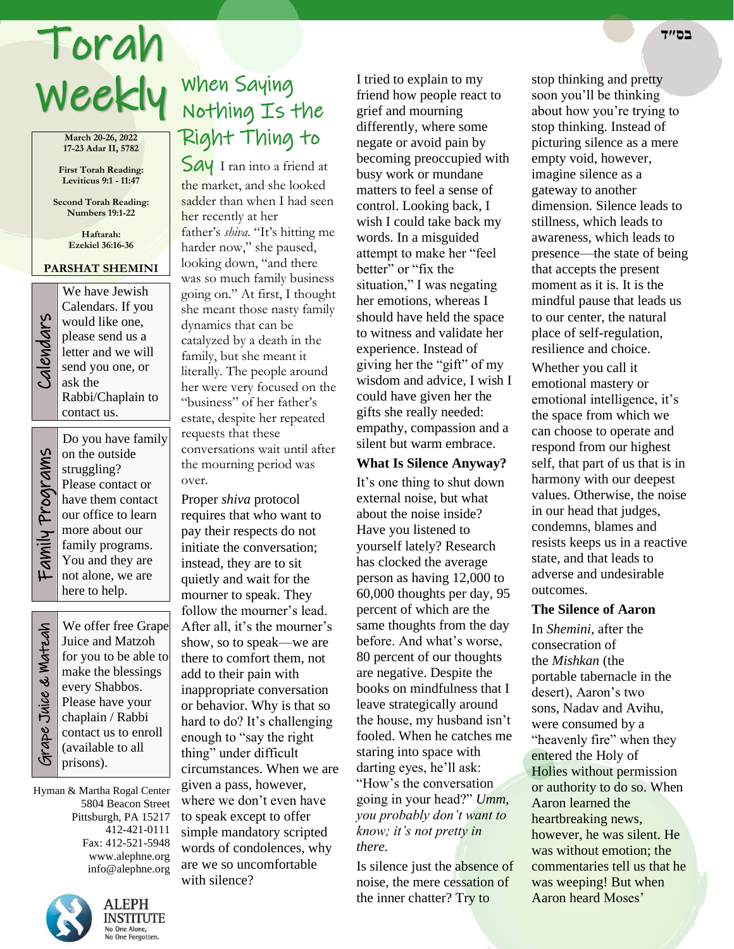# Torah **בס״ד**

**March 20-26, 2022 17-23 Adar II, 5782**

**First Torah Reading: Leviticus 9:1 - 11:47**

**Second Torah Reading: Numbers 19:1-22**

> **Haftarah: Ezekiel 36:16-36**

### **PARSHAT SHEMINI** We have Jewish



Calendars. If you would like one, please send us a letter and we will send you one, or ask the Rabbi/Chaplain to contact us.

Do you have family

on the outside struggling? Please contact or have them contact our office to learn more about our family programs. You and they are not alone, we are here to help.

Grape Juice & Matzah **Strape Juice & Watzah** 

٦

We offer free Grape Juice and Matzoh for you to be able to make the blessings every Shabbos. Please have your chaplain / Rabbi contact us to enroll (available to all prisons).

Hyman & Martha Rogal Center 5804 Beacon Street Pittsburgh, PA 15217 412-421-0111 Fax: 412-521-5948 www.alephne.org info@alephne.org



# When Saying Weekly When Saying<br>Neekly Nothing Is the Right Thing to

Say I ran into a friend at the market, and she looked sadder than when I had seen her recently at her father's *shiva*. "It's hitting me harder now," she paused, looking down, "and there was so much family business going on." At first, I thought she meant those nasty family dynamics that can be catalyzed by a death in the family, but she meant it literally. The people around her were very focused on the "business" of her father's estate, despite her repeated requests that these conversations wait until after the mourning period was over.

Proper *shiva* protocol requires that who want to pay their respects do not initiate the conversation; instead, they are to sit quietly and wait for the mourner to speak. They follow the mourner's lead. After all, it's the mourner's show, so to speak—we are there to comfort them, not add to their pain with inappropriate conversation or behavior. Why is that so hard to do? It's challenging enough to "say the right thing" under difficult circumstances. When we are given a pass, however, where we don't even have to speak except to offer simple mandatory scripted words of condolences, why are we so uncomfortable with silence?

I tried to explain to my friend how people react to grief and mourning differently, where some negate or avoid pain by becoming preoccupied with busy work or mundane matters to feel a sense of control. Looking back, I wish I could take back my words. In a misguided attempt to make her "feel better" or "fix the situation," I was negating her emotions, whereas I should have held the space to witness and validate her experience. Instead of giving her the "gift" of my wisdom and advice, I wish I could have given her the gifts she really needed: empathy, compassion and a silent but warm embrace.

#### **What Is Silence Anyway?**

It's one thing to shut down external noise, but what about the noise inside? Have you listened to yourself lately? Research has clocked the average person as having 12,000 to 60,000 thoughts per day, 95 percent of which are the same thoughts from the day before. And what's worse, 80 percent of our thoughts are negative. Despite the books on mindfulness that I leave strategically around the house, my husband isn't fooled. When he catches me staring into space with darting eyes, he'll ask: "How's the conversation going in your head?" *Umm, you probably don't want to know; it's not pretty in there.*

Is silence just the absence of noise, the mere cessation of the inner chatter? Try to

stop thinking and pretty soon you'll be thinking about how you're trying to stop thinking. Instead of picturing silence as a mere empty void, however, imagine silence as a gateway to another dimension. Silence leads to stillness, which leads to awareness, which leads to presence—the state of being that accepts the present moment as it is. It is the mindful pause that leads us to our center, the natural place of self-regulation, resilience and choice.

Whether you call it emotional mastery or emotional intelligence, it's the space from which we can choose to operate and respond from our highest self, that part of us that is in harmony with our deepest values. Otherwise, the noise in our head that judges, condemns, blames and resists keeps us in a reactive state, and that leads to adverse and undesirable outcomes.

#### **The Silence of Aaron**

In *Shemini,* after the consecration of the *Mishkan* (the portable tabernacle in the desert), Aaron's two sons, Nadav and Avihu, were consumed by a "heavenly fire" when they entered the Holy of Holies without permission or authority to do so. When Aaron learned the heartbreaking news, however, he was silent. He was without emotion; the commentaries tell us that he was weeping! But when Aaron heard Moses'